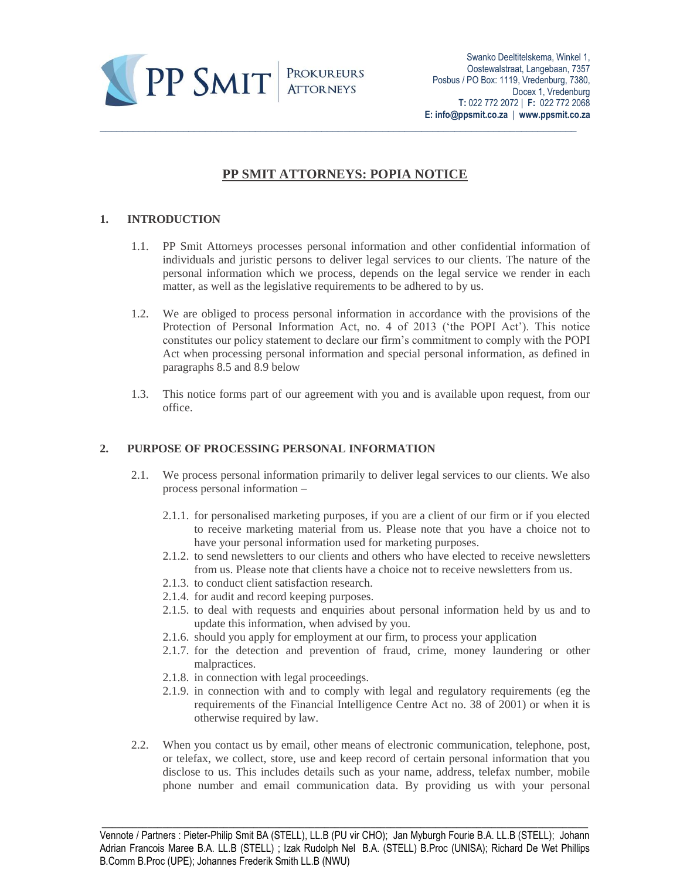

# **PP SMIT ATTORNEYS: POPIA NOTICE**

# **1. INTRODUCTION**

- 1.1. PP Smit Attorneys processes personal information and other confidential information of individuals and juristic persons to deliver legal services to our clients. The nature of the personal information which we process, depends on the legal service we render in each matter, as well as the legislative requirements to be adhered to by us.
- 1.2. We are obliged to process personal information in accordance with the provisions of the Protection of Personal Information Act, no. 4 of 2013 ('the POPI Act'). This notice constitutes our policy statement to declare our firm's commitment to comply with the POPI Act when processing personal information and special personal information, as defined in paragraphs 8.5 and 8.9 below
- 1.3. This notice forms part of our agreement with you and is available upon request, from our office.

## **2. PURPOSE OF PROCESSING PERSONAL INFORMATION**

- 2.1. We process personal information primarily to deliver legal services to our clients. We also process personal information –
	- 2.1.1. for personalised marketing purposes, if you are a client of our firm or if you elected to receive marketing material from us. Please note that you have a choice not to have your personal information used for marketing purposes.
	- 2.1.2. to send newsletters to our clients and others who have elected to receive newsletters from us. Please note that clients have a choice not to receive newsletters from us.
	- 2.1.3. to conduct client satisfaction research.
	- 2.1.4. for audit and record keeping purposes.
	- 2.1.5. to deal with requests and enquiries about personal information held by us and to update this information, when advised by you.
	- 2.1.6. should you apply for employment at our firm, to process your application
	- 2.1.7. for the detection and prevention of fraud, crime, money laundering or other malpractices.
	- 2.1.8. in connection with legal proceedings.
	- 2.1.9. in connection with and to comply with legal and regulatory requirements (eg the requirements of the Financial Intelligence Centre Act no. 38 of 2001) or when it is otherwise required by law.
- 2.2. When you contact us by email, other means of electronic communication, telephone, post, or telefax, we collect, store, use and keep record of certain personal information that you disclose to us. This includes details such as your name, address, telefax number, mobile phone number and email communication data. By providing us with your personal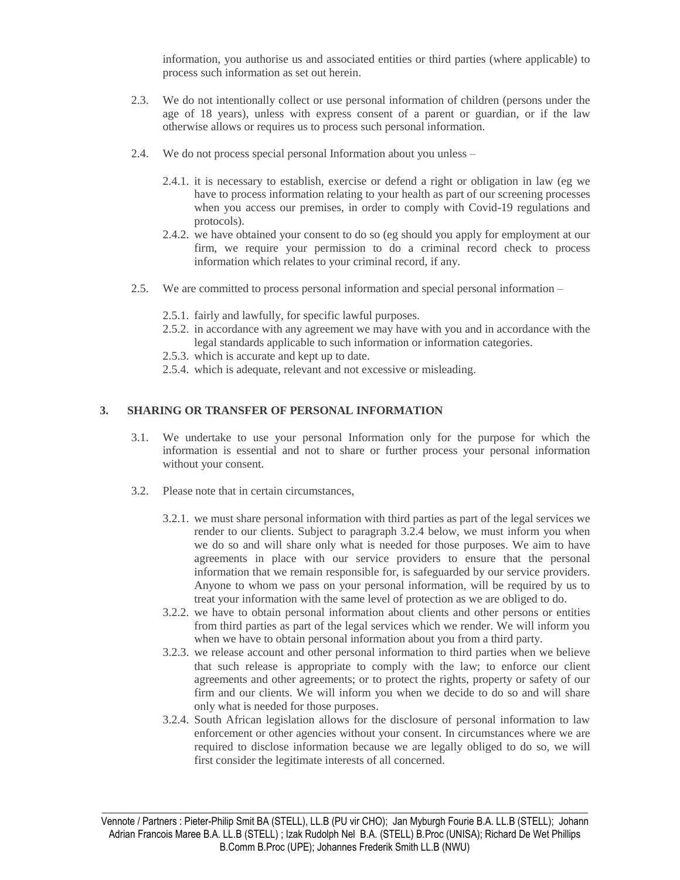information, you authorise us and associated entities or third parties (where applicable) to process such information as set out herein.

- 2.3. We do not intentionally collect or use personal information of children (persons under the age of 18 years), unless with express consent of a parent or guardian, or if the law otherwise allows or requires us to process such personal information.
- 2.4. We do not process special personal Information about you unless
	- 2.4.1. it is necessary to establish, exercise or defend a right or obligation in law (eg we have to process information relating to your health as part of our screening processes when you access our premises, in order to comply with Covid-19 regulations and protocols).
	- 2.4.2. we have obtained your consent to do so (eg should you apply for employment at our firm, we require your permission to do a criminal record check to process information which relates to your criminal record, if any.
- 2.5. We are committed to process personal information and special personal information
	- 2.5.1. fairly and lawfully, for specific lawful purposes.
	- 2.5.2. in accordance with any agreement we may have with you and in accordance with the legal standards applicable to such information or information categories.
	- 2.5.3. which is accurate and kept up to date.
	- 2.5.4. which is adequate, relevant and not excessive or misleading.

## **3. SHARING OR TRANSFER OF PERSONAL INFORMATION**

- 3.1. We undertake to use your personal Information only for the purpose for which the information is essential and not to share or further process your personal information without your consent.
- 3.2. Please note that in certain circumstances,
	- 3.2.1. we must share personal information with third parties as part of the legal services we render to our clients. Subject to paragraph 3.2.4 below, we must inform you when we do so and will share only what is needed for those purposes. We aim to have agreements in place with our service providers to ensure that the personal information that we remain responsible for, is safeguarded by our service providers. Anyone to whom we pass on your personal information, will be required by us to treat your information with the same level of protection as we are obliged to do.
	- 3.2.2. we have to obtain personal information about clients and other persons or entities from third parties as part of the legal services which we render. We will inform you when we have to obtain personal information about you from a third party.
	- 3.2.3. we release account and other personal information to third parties when we believe that such release is appropriate to comply with the law; to enforce our client agreements and other agreements; or to protect the rights, property or safety of our firm and our clients. We will inform you when we decide to do so and will share only what is needed for those purposes.
	- 3.2.4. South African legislation allows for the disclosure of personal information to law enforcement or other agencies without your consent. In circumstances where we are required to disclose information because we are legally obliged to do so, we will first consider the legitimate interests of all concerned.

Vennote / Partners : Pieter-Philip Smit BA (STELL), LL.B (PU vir CHO); Jan Myburgh Fourie B.A. LL.B (STELL); Johann Adrian Francois Maree B.A. LL.B (STELL) ; Izak Rudolph Nel B.A. (STELL) B.Proc (UNISA); Richard De Wet Phillips B.Comm B.Proc (UPE); Johannes Frederik Smith LL.B (NWU)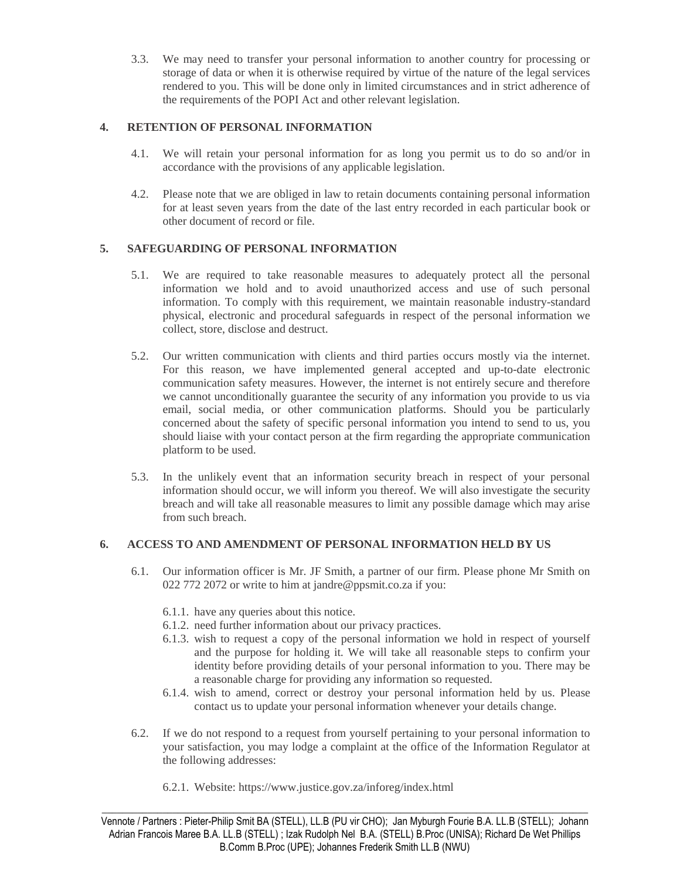3.3. We may need to transfer your personal information to another country for processing or storage of data or when it is otherwise required by virtue of the nature of the legal services rendered to you. This will be done only in limited circumstances and in strict adherence of the requirements of the POPI Act and other relevant legislation.

## **4. RETENTION OF PERSONAL INFORMATION**

- 4.1. We will retain your personal information for as long you permit us to do so and/or in accordance with the provisions of any applicable legislation.
- 4.2. Please note that we are obliged in law to retain documents containing personal information for at least seven years from the date of the last entry recorded in each particular book or other document of record or file.

## **5. SAFEGUARDING OF PERSONAL INFORMATION**

- 5.1. We are required to take reasonable measures to adequately protect all the personal information we hold and to avoid unauthorized access and use of such personal information. To comply with this requirement, we maintain reasonable industry-standard physical, electronic and procedural safeguards in respect of the personal information we collect, store, disclose and destruct.
- 5.2. Our written communication with clients and third parties occurs mostly via the internet. For this reason, we have implemented general accepted and up-to-date electronic communication safety measures. However, the internet is not entirely secure and therefore we cannot unconditionally guarantee the security of any information you provide to us via email, social media, or other communication platforms. Should you be particularly concerned about the safety of specific personal information you intend to send to us, you should liaise with your contact person at the firm regarding the appropriate communication platform to be used.
- 5.3. In the unlikely event that an information security breach in respect of your personal information should occur, we will inform you thereof. We will also investigate the security breach and will take all reasonable measures to limit any possible damage which may arise from such breach.

## **6. ACCESS TO AND AMENDMENT OF PERSONAL INFORMATION HELD BY US**

- 6.1. Our information officer is Mr. JF Smith, a partner of our firm. Please phone Mr Smith on 022 772 2072 or write to him at jandre@ppsmit.co.za if you:
	- 6.1.1. have any queries about this notice.
	- 6.1.2. need further information about our privacy practices.
	- 6.1.3. wish to request a copy of the personal information we hold in respect of yourself and the purpose for holding it. We will take all reasonable steps to confirm your identity before providing details of your personal information to you. There may be a reasonable charge for providing any information so requested.
	- 6.1.4. wish to amend, correct or destroy your personal information held by us. Please contact us to update your personal information whenever your details change.
- 6.2. If we do not respond to a request from yourself pertaining to your personal information to your satisfaction, you may lodge a complaint at the office of the Information Regulator at the following addresses:
	- 6.2.1. Website: https://www.justice.gov.za/inforeg/index.html

Vennote / Partners : Pieter-Philip Smit BA (STELL), LL.B (PU vir CHO); Jan Myburgh Fourie B.A. LL.B (STELL); Johann Adrian Francois Maree B.A. LL.B (STELL) ; Izak Rudolph Nel B.A. (STELL) B.Proc (UNISA); Richard De Wet Phillips B.Comm B.Proc (UPE); Johannes Frederik Smith LL.B (NWU)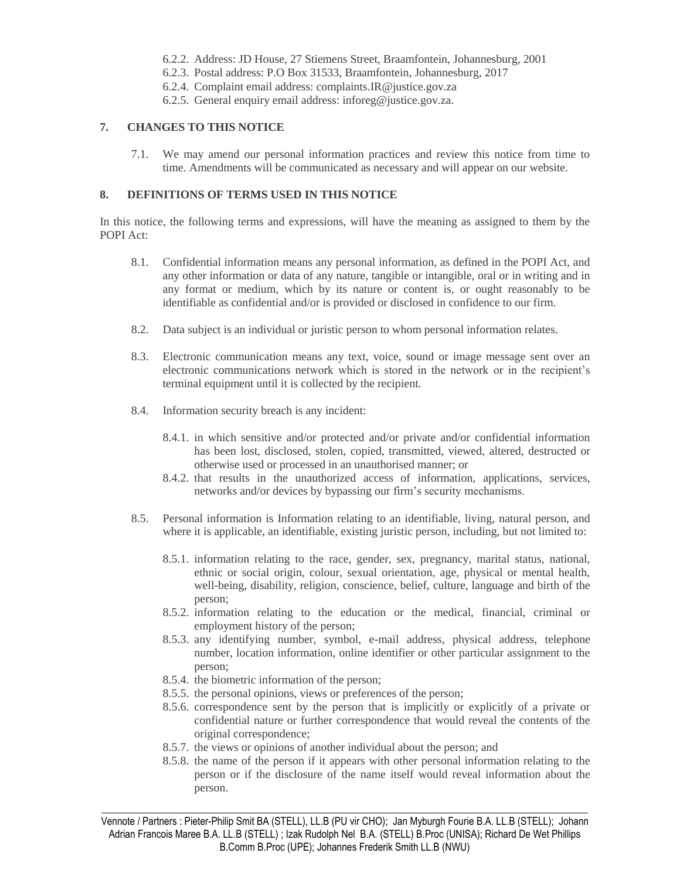- 6.2.2. Address: JD House, 27 Stiemens Street, Braamfontein, Johannesburg, 2001
- 6.2.3. Postal address: P.O Box 31533, Braamfontein, Johannesburg, 2017
- 6.2.4. Complaint email address: complaints.IR@justice.gov.za
- 6.2.5. General enquiry email address: inforeg@justice.gov.za.

#### **7. CHANGES TO THIS NOTICE**

7.1. We may amend our personal information practices and review this notice from time to time. Amendments will be communicated as necessary and will appear on our website.

#### **8. DEFINITIONS OF TERMS USED IN THIS NOTICE**

In this notice, the following terms and expressions, will have the meaning as assigned to them by the POPI Act:

- 8.1. Confidential information means any personal information, as defined in the POPI Act, and any other information or data of any nature, tangible or intangible, oral or in writing and in any format or medium, which by its nature or content is, or ought reasonably to be identifiable as confidential and/or is provided or disclosed in confidence to our firm.
- 8.2. Data subject is an individual or juristic person to whom personal information relates.
- 8.3. Electronic communication means any text, voice, sound or image message sent over an electronic communications network which is stored in the network or in the recipient's terminal equipment until it is collected by the recipient.
- 8.4. Information security breach is any incident:
	- 8.4.1. in which sensitive and/or protected and/or private and/or confidential information has been lost, disclosed, stolen, copied, transmitted, viewed, altered, destructed or otherwise used or processed in an unauthorised manner; or
	- 8.4.2. that results in the unauthorized access of information, applications, services, networks and/or devices by bypassing our firm's security mechanisms.
- 8.5. Personal information is Information relating to an identifiable, living, natural person, and where it is applicable, an identifiable, existing juristic person, including, but not limited to:
	- 8.5.1. information relating to the race, gender, sex, pregnancy, marital status, national, ethnic or social origin, colour, sexual orientation, age, physical or mental health, well-being, disability, religion, conscience, belief, culture, language and birth of the person;
	- 8.5.2. information relating to the education or the medical, financial, criminal or employment history of the person;
	- 8.5.3. any identifying number, symbol, e-mail address, physical address, telephone number, location information, online identifier or other particular assignment to the person;
	- 8.5.4. the biometric information of the person;
	- 8.5.5. the personal opinions, views or preferences of the person;
	- 8.5.6. correspondence sent by the person that is implicitly or explicitly of a private or confidential nature or further correspondence that would reveal the contents of the original correspondence;
	- 8.5.7. the views or opinions of another individual about the person; and
	- 8.5.8. the name of the person if it appears with other personal information relating to the person or if the disclosure of the name itself would reveal information about the person.

Vennote / Partners : Pieter-Philip Smit BA (STELL), LL.B (PU vir CHO); Jan Myburgh Fourie B.A. LL.B (STELL); Johann Adrian Francois Maree B.A. LL.B (STELL) ; Izak Rudolph Nel B.A. (STELL) B.Proc (UNISA); Richard De Wet Phillips B.Comm B.Proc (UPE); Johannes Frederik Smith LL.B (NWU)